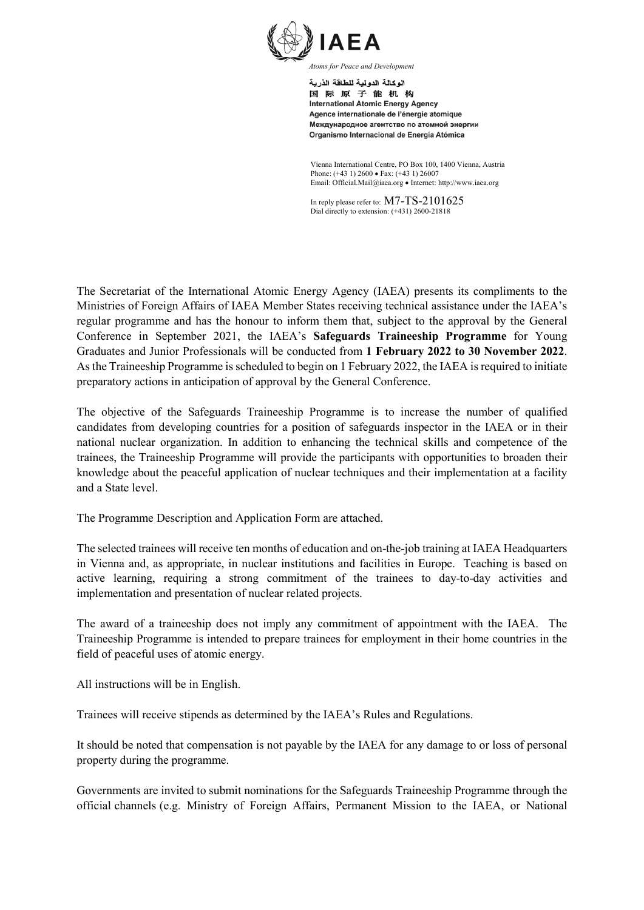

اله كالة الده لدة للطاقة الذرية 国际原子能机构 **International Atomic Energy Agency** Agence internationale de l'énergie atomique Международное агентство по атомной энергии Organismo Internacional de Energía Atómica

Vienna International Centre, PO Box 100, 1400 Vienna, Austria Phone: (+43 1) 2600 • Fax: (+43 1) 26007 Email: Official.Mail@iaea.org • Internet: http://www.iaea.org

In reply please refer to: M7-TS-2101625 Dial directly to extension: (+431) 2600-21818

The Secretariat of the International Atomic Energy Agency (IAEA) presents its compliments to the Ministries of Foreign Affairs of IAEA Member States receiving technical assistance under the IAEA's regular programme and has the honour to inform them that, subject to the approval by the General Conference in September 2021, the IAEA's **Safeguards Traineeship Programme** for Young Graduates and Junior Professionals will be conducted from **1 February 2022 to 30 November 2022**. As the Traineeship Programme is scheduled to begin on 1 February 2022, the IAEA is required to initiate preparatory actions in anticipation of approval by the General Conference.

The objective of the Safeguards Traineeship Programme is to increase the number of qualified candidates from developing countries for a position of safeguards inspector in the IAEA or in their national nuclear organization. In addition to enhancing the technical skills and competence of the trainees, the Traineeship Programme will provide the participants with opportunities to broaden their knowledge about the peaceful application of nuclear techniques and their implementation at a facility and a State level.

The Programme Description and Application Form are attached.

The selected trainees will receive ten months of education and on-the-job training at IAEA Headquarters in Vienna and, as appropriate, in nuclear institutions and facilities in Europe. Teaching is based on active learning, requiring a strong commitment of the trainees to day-to-day activities and implementation and presentation of nuclear related projects.

The award of a traineeship does not imply any commitment of appointment with the IAEA. The Traineeship Programme is intended to prepare trainees for employment in their home countries in the field of peaceful uses of atomic energy.

All instructions will be in English.

Trainees will receive stipends as determined by the IAEA's Rules and Regulations.

It should be noted that compensation is not payable by the IAEA for any damage to or loss of personal property during the programme.

Governments are invited to submit nominations for the Safeguards Traineeship Programme through the official channels (e.g. Ministry of Foreign Affairs, Permanent Mission to the IAEA, or National